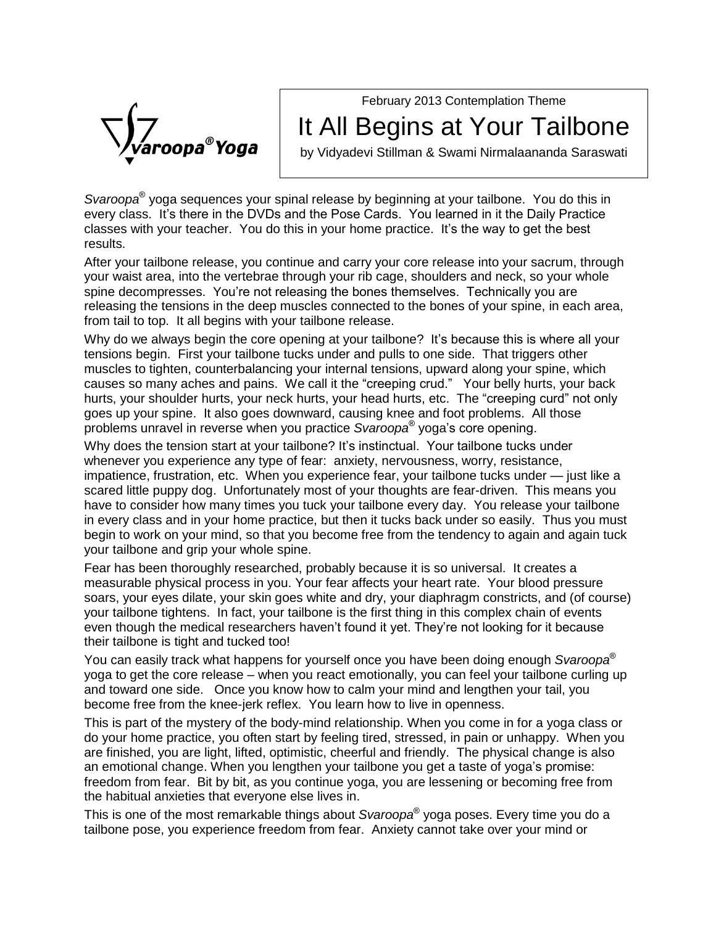February 2013 Contemplation Theme

roopa®Yoga

## It All Begins at Your Tailbone

by Vidyadevi Stillman & Swami Nirmalaananda Saraswati

Svaroopa® yoga sequences your spinal release by beginning at your tailbone. You do this in every opa<sup>®</sup> yoga sequences your spinal release by beginning at your tailbone. You do this in<br>The Poster of Alling at your Spinal Prese Cards. You learned in it the Daily Practice<br>Levery class. It's there in the DVDs and t Svaroopa® yoga sequences your spinal release by beginning at your tailbone. You do this in<br>every class. It's there in the DVDs and the Pose Cards. You learned in it the Daily Practice<br>classes with your teacher. You do this results.

After your tailbone release, you continue and carry your core release into your sacrum, through<br>your waist area, into the vertebrae through your rib cage, shoulders and neck, so your whole<br>spine decompresses. You're not re your waist area, into the vertebrae through your rib cage, shoulders and neck, so your whole releasing the tensions in the deep muscles connected to the bones of your spine, in each area,<br>from tail to top. It all begins with your tailbone release.<br>Why do we always begin the core opening at your tailbone? It's be from tail to top. It all begins with your tailbone release.

tensions begin. First your tailbone tucks under and pulls to one side. That triggers other muscles to tighten, counterbalancing your internal tensions, upward along your spine, which Why do we always begin the core opening at your tailbone? It's because this is where all your tensions begin. First your tailbone tucks under and pulls to one side. That triggers other muscles to tighten, counterbalancing hurscles to tighten, counterbalancing your internal tensions, upward along your spine, which<br>causes so many aches and pains. We call it the "creeping crud." Your belly hurts, your back<br>hurts, your shoulder hurts, your neck goes up your spine. It also goes downward, causing knee and foot problems. All those<br>problems unravel in reverse when you practice *Svaroopa*® yoga's core opening.<br>Why does the tension start at your tailbone? It's instin problems unravel in reverse when you practice Svaroopa<sup>®</sup> yoga's core opening. s, etc. The "creeping curd<br>and foot problems. All the<br>yoga's core opening.

whenever you experience any type of fear: anxiety, nervousness, worry, resistance, Why does the tension start at your tailbone? It's instinctual. Your tailbone tucks under<br>whenever you experience any type of fear: anxiety, nervousness, worry, resistance,<br>impatience, frustration, etc. When you experience scared little puppy dog. Unfortunately most of your thoughts are fear-driven. This means you have to consider how many times you tuck your tailbone every day. You release your tailbone in every class and in your home practice, but then it tucks back under so easily. Thus you must begin to work on your mind, so that you become free from the tendency to again and again tuck your tailbone and grip your whole spine.

Fear has been thoroughly researched, probably because it is so universal. It creates a measurable physical process in you. Your fear affects your heart rate. Your blood pressure soars, your eyes dilate, your skin goes white and dry, your diaphragm constricts, and (of course)<br>your tailbone tightens. In fact, your tailbone is the first thing in this complex chain of events<br>even though the medical re your tailbone tightens. In fact, your tailbone is the first thing in this complex chain of events their tailbone is tight and tucked too!

You can easily track what happens for yourself once you have been doing enough Svaroopa<sup>®</sup> yoga to get the core release – when you react emotionally, you can feel your tailbone curling up and toward one side. Once you know how to calm your mind and lengthen your tail, you become free from the knee-jerk reflex. You learn how to live in openness.

This is part of the mystery of the body-mind relationship. When you come in for a yoga class or In the your home practice, you often start by feeling tired, stressed, in pain or unhappy. When you are finished, you are light, lifted, optimistic, cheerful and friendly. The physical change is also an emotional change. W are finished, you are light, lifted, optimistic, cheerful and friendly. The physical change is also freedom from fear. Bit by bit, as you continue yoga, you are lessening or becoming free from Æthe habitual anxieties that everyone else lives in.

This is one of the most remarkable things about S*varoopa*® yoga poses. Every time you do a tailbone pose, you experience freedom from fear. Anxiety cannot take over your mind or